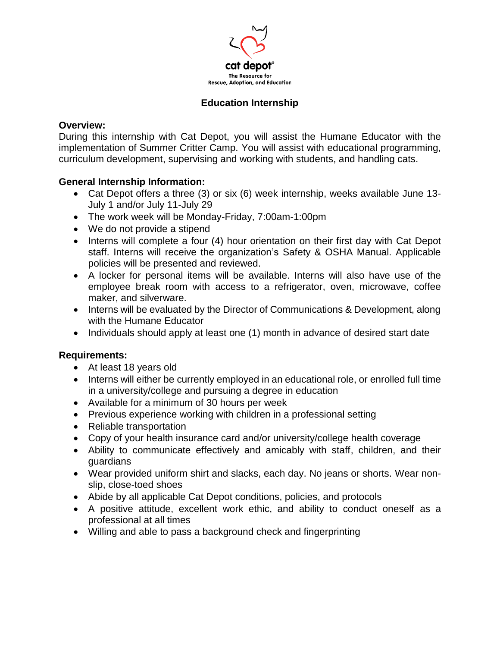

# **Education Internship**

### **Overview:**

During this internship with Cat Depot, you will assist the Humane Educator with the implementation of Summer Critter Camp. You will assist with educational programming, curriculum development, supervising and working with students, and handling cats.

## **General Internship Information:**

- Cat Depot offers a three (3) or six (6) week internship, weeks available June 13- July 1 and/or July 11-July 29
- The work week will be Monday-Friday, 7:00am-1:00pm
- We do not provide a stipend
- Interns will complete a four (4) hour orientation on their first day with Cat Depot staff. Interns will receive the organization's Safety & OSHA Manual. Applicable policies will be presented and reviewed.
- A locker for personal items will be available. Interns will also have use of the employee break room with access to a refrigerator, oven, microwave, coffee maker, and silverware.
- Interns will be evaluated by the Director of Communications & Development, along with the Humane Educator
- Individuals should apply at least one (1) month in advance of desired start date

### **Requirements:**

- At least 18 years old
- Interns will either be currently employed in an educational role, or enrolled full time in a university/college and pursuing a degree in education
- Available for a minimum of 30 hours per week
- Previous experience working with children in a professional setting
- Reliable transportation
- Copy of your health insurance card and/or university/college health coverage
- Ability to communicate effectively and amicably with staff, children, and their guardians
- Wear provided uniform shirt and slacks, each day. No jeans or shorts. Wear nonslip, close-toed shoes
- Abide by all applicable Cat Depot conditions, policies, and protocols
- A positive attitude, excellent work ethic, and ability to conduct oneself as a professional at all times
- Willing and able to pass a background check and fingerprinting